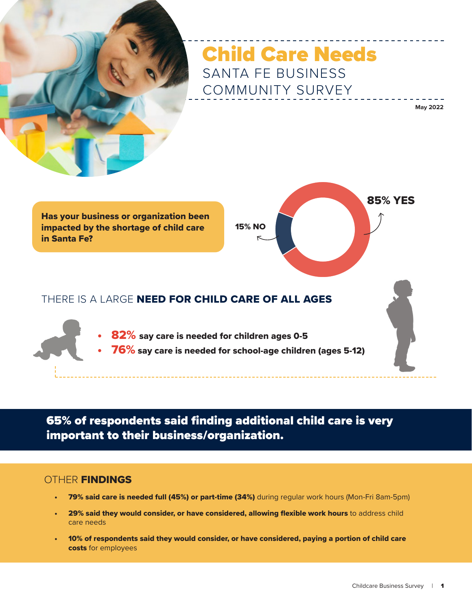

# Child Care Needs SANTA FE BUSINESS COMMUNITY SURVEY

**May 2022**

Has your business or organization been impacted by the shortage of child care in Santa Fe?



## THERE IS A LARGE NEED FOR CHILD CARE OF ALL AGES

- 82% say care is needed for children ages 0-5
- 76% say care is needed for school-age children (ages 5-12)

65% of respondents said finding additional child care is very important to their business/organization.

### **OTHER FINDINGS**

- 79% said care is needed full (45%) or part-time (34%) during regular work hours (Mon-Fri 8am-5pm)
- 29% said they would consider, or have considered, allowing flexible work hours to address child care needs
- 10% of respondents said they would consider, or have considered, paying a portion of child care costs for employees